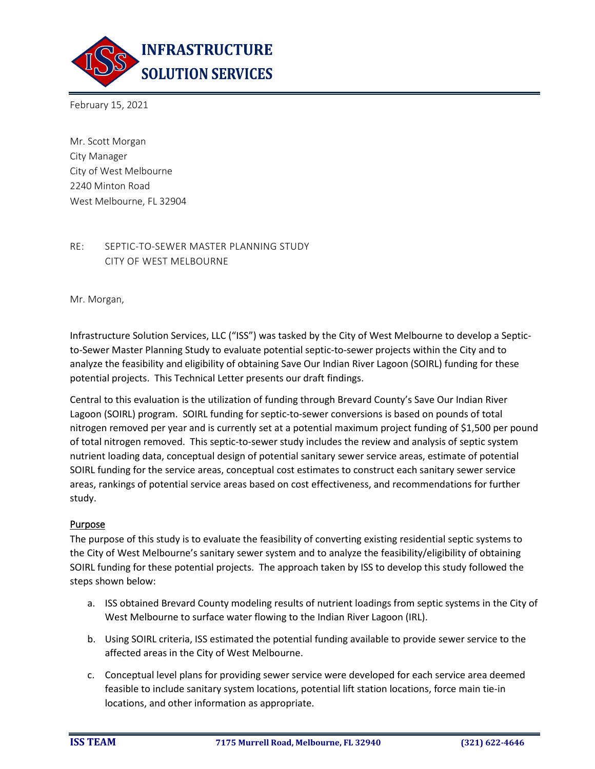

February 15, 2021

Mr. Scott Morgan City Manager City of West Melbourne 2240 Minton Road West Melbourne, FL 32904

## RE: SEPTIC-TO-SEWER MASTER PLANNING STUDY CITY OF WEST MELBOURNE

Mr. Morgan,

Infrastructure Solution Services, LLC ("ISS") was tasked by the City of West Melbourne to develop a Septicto-Sewer Master Planning Study to evaluate potential septic-to-sewer projects within the City and to analyze the feasibility and eligibility of obtaining Save Our Indian River Lagoon (SOIRL) funding for these potential projects. This Technical Letter presents our draft findings.

Central to this evaluation is the utilization of funding through Brevard County's Save Our Indian River Lagoon (SOIRL) program. SOIRL funding for septic-to-sewer conversions is based on pounds of total nitrogen removed per year and is currently set at a potential maximum project funding of \$1,500 per pound of total nitrogen removed. This septic-to-sewer study includes the review and analysis of septic system nutrient loading data, conceptual design of potential sanitary sewer service areas, estimate of potential SOIRL funding for the service areas, conceptual cost estimates to construct each sanitary sewer service areas, rankings of potential service areas based on cost effectiveness, and recommendations for further study.

#### Purpose

The purpose of this study is to evaluate the feasibility of converting existing residential septic systems to the City of West Melbourne's sanitary sewer system and to analyze the feasibility/eligibility of obtaining SOIRL funding for these potential projects. The approach taken by ISS to develop this study followed the steps shown below:

- a. ISS obtained Brevard County modeling results of nutrient loadings from septic systems in the City of West Melbourne to surface water flowing to the Indian River Lagoon (IRL).
- b. Using SOIRL criteria, ISS estimated the potential funding available to provide sewer service to the affected areas in the City of West Melbourne.
- c. Conceptual level plans for providing sewer service were developed for each service area deemed feasible to include sanitary system locations, potential lift station locations, force main tie-in locations, and other information as appropriate.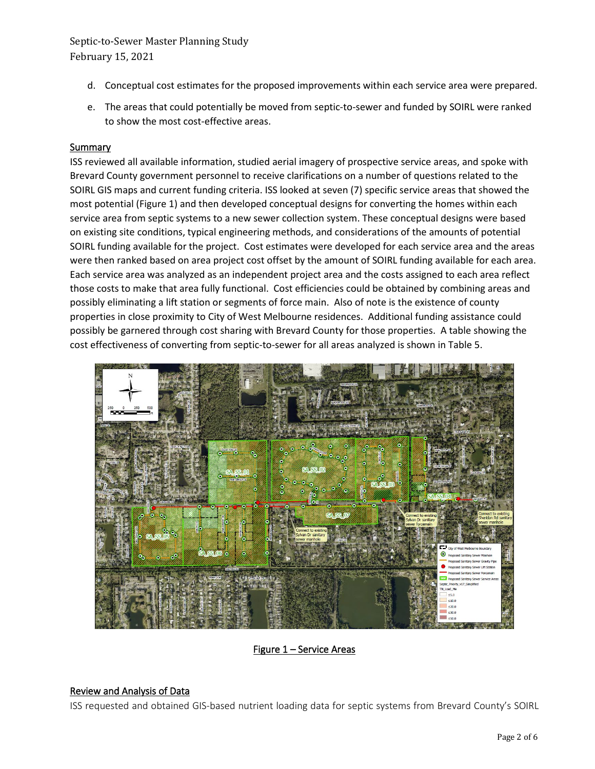Septic-to-Sewer Master Planning Study February 15, 2021

- d. Conceptual cost estimates for the proposed improvements within each service area were prepared.
- e. The areas that could potentially be moved from septic-to-sewer and funded by SOIRL were ranked to show the most cost-effective areas.

#### **Summary**

ISS reviewed all available information, studied aerial imagery of prospective service areas, and spoke with Brevard County government personnel to receive clarifications on a number of questions related to the SOIRL GIS maps and current funding criteria. ISS looked at seven (7) specific service areas that showed the most potential (Figure 1) and then developed conceptual designs for converting the homes within each service area from septic systems to a new sewer collection system. These conceptual designs were based on existing site conditions, typical engineering methods, and considerations of the amounts of potential SOIRL funding available for the project. Cost estimates were developed for each service area and the areas were then ranked based on area project cost offset by the amount of SOIRL funding available for each area. Each service area was analyzed as an independent project area and the costs assigned to each area reflect those costs to make that area fully functional. Cost efficiencies could be obtained by combining areas and possibly eliminating a lift station or segments of force main. Also of note is the existence of county properties in close proximity to City of West Melbourne residences. Additional funding assistance could possibly be garnered through cost sharing with Brevard County for those properties. A table showing the cost effectiveness of converting from septic-to-sewer for all areas analyzed is shown in Table 5.



### Figure 1 – Service Areas

#### Review and Analysis of Data

ISS requested and obtained GIS-based nutrient loading data for septic systems from Brevard County's SOIRL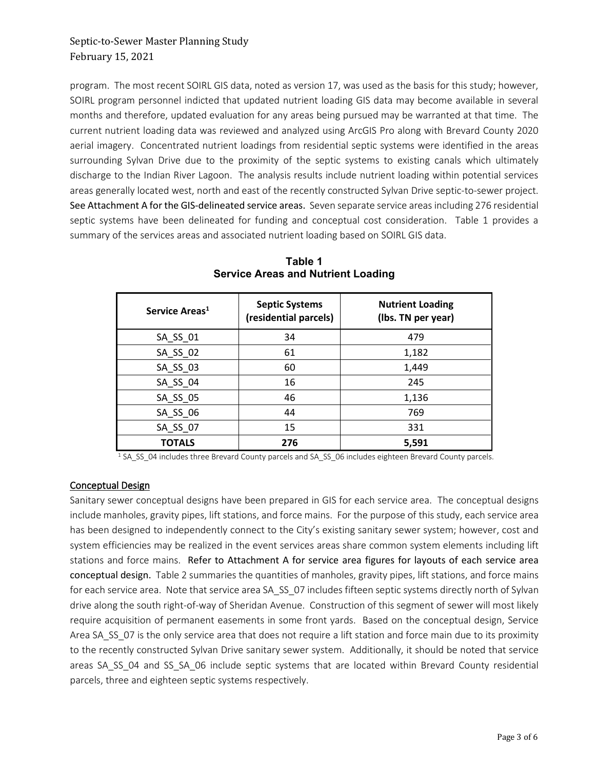# Septic-to-Sewer Master Planning Study February 15, 2021

program. The most recent SOIRL GIS data, noted as version 17, was used as the basis for this study; however, SOIRL program personnel indicted that updated nutrient loading GIS data may become available in several months and therefore, updated evaluation for any areas being pursued may be warranted at that time. The current nutrient loading data was reviewed and analyzed using ArcGIS Pro along with Brevard County 2020 aerial imagery. Concentrated nutrient loadings from residential septic systems were identified in the areas surrounding Sylvan Drive due to the proximity of the septic systems to existing canals which ultimately discharge to the Indian River Lagoon. The analysis results include nutrient loading within potential services areas generally located west, north and east of the recently constructed Sylvan Drive septic-to-sewer project. See Attachment A for the GIS-delineated service areas. Seven separate service areas including 276 residential septic systems have been delineated for funding and conceptual cost consideration. Table 1 provides a summary of the services areas and associated nutrient loading based on SOIRL GIS data.

| Service Areas <sup>1</sup> | <b>Septic Systems</b><br>(residential parcels) | <b>Nutrient Loading</b><br>(Ibs. TN per year) |  |
|----------------------------|------------------------------------------------|-----------------------------------------------|--|
| SA_SS_01                   | 34                                             | 479                                           |  |
| SA_SS_02                   | 61                                             | 1,182                                         |  |
| SA_SS_03                   | 60                                             | 1,449                                         |  |
| SA SS 04                   | 16                                             | 245                                           |  |
| SA_SS_05                   | 46                                             | 1,136                                         |  |
| SA SS 06                   | 44                                             | 769                                           |  |
| SA_SS_07                   | 15                                             | 331                                           |  |
| <b>TOTALS</b>              | 276                                            | 5,591                                         |  |

**Table 1 Service Areas and Nutrient Loading**

<sup>1</sup> SA SS 04 includes three Brevard County parcels and SA SS 06 includes eighteen Brevard County parcels.

### Conceptual Design

Sanitary sewer conceptual designs have been prepared in GIS for each service area. The conceptual designs include manholes, gravity pipes, lift stations, and force mains. For the purpose of this study, each service area has been designed to independently connect to the City's existing sanitary sewer system; however, cost and system efficiencies may be realized in the event services areas share common system elements including lift stations and force mains. Refer to Attachment A for service area figures for layouts of each service area conceptual design. Table 2 summaries the quantities of manholes, gravity pipes, lift stations, and force mains for each service area. Note that service area SA\_SS\_07 includes fifteen septic systems directly north of Sylvan drive along the south right-of-way of Sheridan Avenue. Construction of this segment of sewer will most likely require acquisition of permanent easements in some front yards. Based on the conceptual design, Service Area SA\_SS\_07 is the only service area that does not require a lift station and force main due to its proximity to the recently constructed Sylvan Drive sanitary sewer system. Additionally, it should be noted that service areas SA\_SS\_04 and SS\_SA\_06 include septic systems that are located within Brevard County residential parcels, three and eighteen septic systems respectively.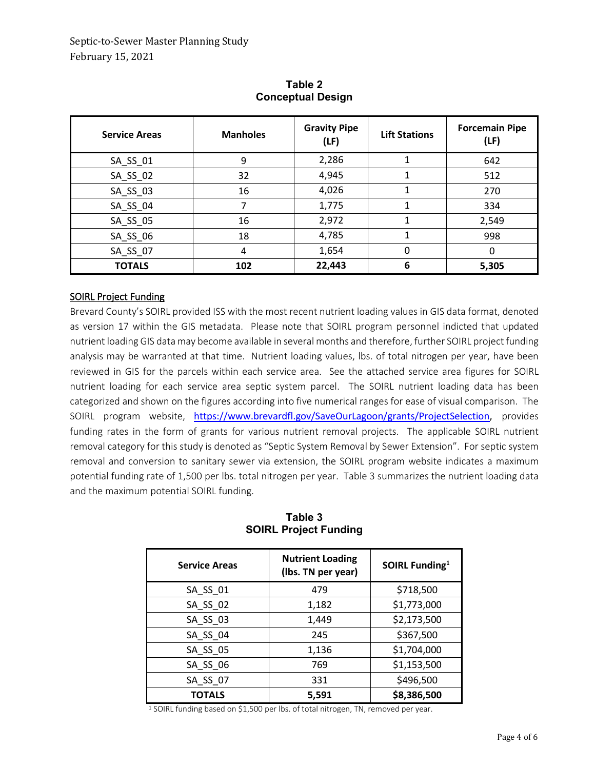| <b>Service Areas</b> | <b>Manholes</b> | <b>Gravity Pipe</b><br>(LF) | <b>Lift Stations</b> | <b>Forcemain Pipe</b><br>(LF) |
|----------------------|-----------------|-----------------------------|----------------------|-------------------------------|
| SA_SS_01             | 9               | 2,286                       |                      | 642                           |
| SA_SS_02             | 32              | 4,945                       |                      | 512                           |
| SA_SS_03             | 16              | 4,026                       |                      | 270                           |
| SA_SS_04             | ⇁               | 1,775                       | 1                    | 334                           |
| SA_SS_05             | 16              | 2,972                       | 1                    | 2,549                         |
| SA_SS_06             | 18              | 4,785                       | 1                    | 998                           |
| SA_SS_07             | 4               | 1,654                       | 0                    | 0                             |
| <b>TOTALS</b>        | 102             | 22,443                      | 6                    | 5,305                         |

**Table 2 Conceptual Design**

## SOIRL Project Funding

Brevard County's SOIRL provided ISS with the most recent nutrient loading values in GIS data format, denoted as version 17 within the GIS metadata. Please note that SOIRL program personnel indicted that updated nutrient loading GIS data may become available in several months and therefore, further SOIRL project funding analysis may be warranted at that time. Nutrient loading values, lbs. of total nitrogen per year, have been reviewed in GIS for the parcels within each service area. See the attached service area figures for SOIRL nutrient loading for each service area septic system parcel. The SOIRL nutrient loading data has been categorized and shown on the figures according into five numerical ranges for ease of visual comparison. The SOIRL program website, [https://www.brevardfl.gov/SaveOurLagoon/grants/ProjectSelection,](https://www.brevardfl.gov/SaveOurLagoon/grants/ProjectSelection) provides funding rates in the form of grants for various nutrient removal projects. The applicable SOIRL nutrient removal category for this study is denoted as "Septic System Removal by Sewer Extension". For septic system removal and conversion to sanitary sewer via extension, the SOIRL program website indicates a maximum potential funding rate of 1,500 per lbs. total nitrogen per year. Table 3 summarizes the nutrient loading data and the maximum potential SOIRL funding.

| <b>Service Areas</b> | <b>Nutrient Loading</b><br>(lbs. TN per year) | SOIRL Funding <sup>1</sup> |
|----------------------|-----------------------------------------------|----------------------------|
| SA_SS_01             | 479                                           | \$718,500                  |
| SA SS 02             | 1,182                                         | \$1,773,000                |
| SA_SS_03             | 1,449                                         | \$2,173,500                |
| SA SS 04             | 245                                           | \$367,500                  |
| SA_SS_05             | 1,136                                         | \$1,704,000                |
| SA SS 06             | 769                                           | \$1,153,500                |
| SA SS 07             | 331                                           | \$496,500                  |
| <b>TOTALS</b>        | 5,591                                         | \$8,386,500                |

**Table 3 SOIRL Project Funding**

<sup>1</sup> SOIRL funding based on \$1,500 per lbs. of total nitrogen, TN, removed per year.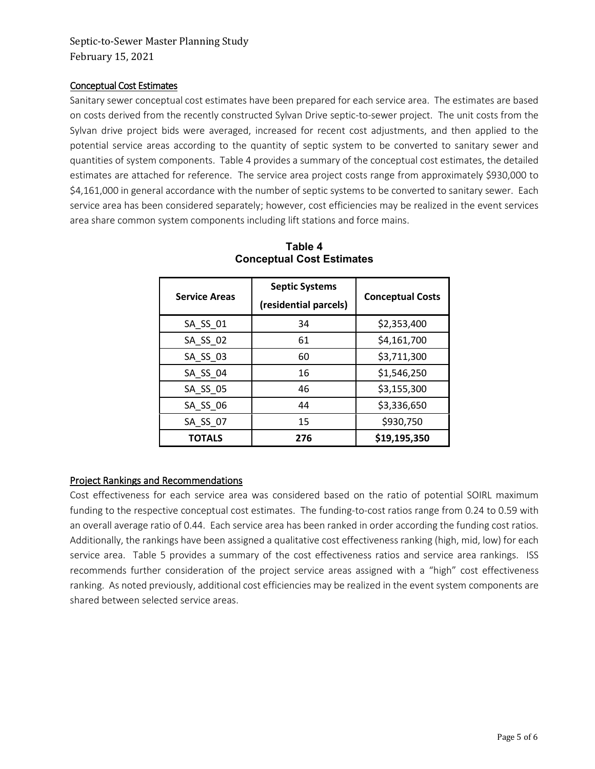### Conceptual Cost Estimates

Sanitary sewer conceptual cost estimates have been prepared for each service area. The estimates are based on costs derived from the recently constructed Sylvan Drive septic-to-sewer project. The unit costs from the Sylvan drive project bids were averaged, increased for recent cost adjustments, and then applied to the potential service areas according to the quantity of septic system to be converted to sanitary sewer and quantities of system components. Table 4 provides a summary of the conceptual cost estimates, the detailed estimates are attached for reference. The service area project costs range from approximately \$930,000 to \$4,161,000 in general accordance with the number of septic systems to be converted to sanitary sewer. Each service area has been considered separately; however, cost efficiencies may be realized in the event services area share common system components including lift stations and force mains.

| <b>Service Areas</b> | <b>Septic Systems</b><br>(residential parcels) | <b>Conceptual Costs</b> |  |
|----------------------|------------------------------------------------|-------------------------|--|
| SA_SS_01             | 34                                             | \$2,353,400             |  |
| SA SS 02             | 61                                             | \$4,161,700             |  |
| SA SS 03             | 60                                             | \$3,711,300             |  |
| SA SS 04             | 16                                             | \$1,546,250             |  |
| SA_SS_05             | 46                                             | \$3,155,300             |  |
| SA SS 06             | 44                                             | \$3,336,650             |  |
| SA SS 07             | 15                                             | \$930,750               |  |
| <b>TOTALS</b>        | 276                                            | \$19,195,350            |  |

### **Table 4 Conceptual Cost Estimates**

## Project Rankings and Recommendations

Cost effectiveness for each service area was considered based on the ratio of potential SOIRL maximum funding to the respective conceptual cost estimates. The funding-to-cost ratios range from 0.24 to 0.59 with an overall average ratio of 0.44. Each service area has been ranked in order according the funding cost ratios. Additionally, the rankings have been assigned a qualitative cost effectiveness ranking (high, mid, low) for each service area. Table 5 provides a summary of the cost effectiveness ratios and service area rankings. ISS recommends further consideration of the project service areas assigned with a "high" cost effectiveness ranking. As noted previously, additional cost efficiencies may be realized in the event system components are shared between selected service areas.